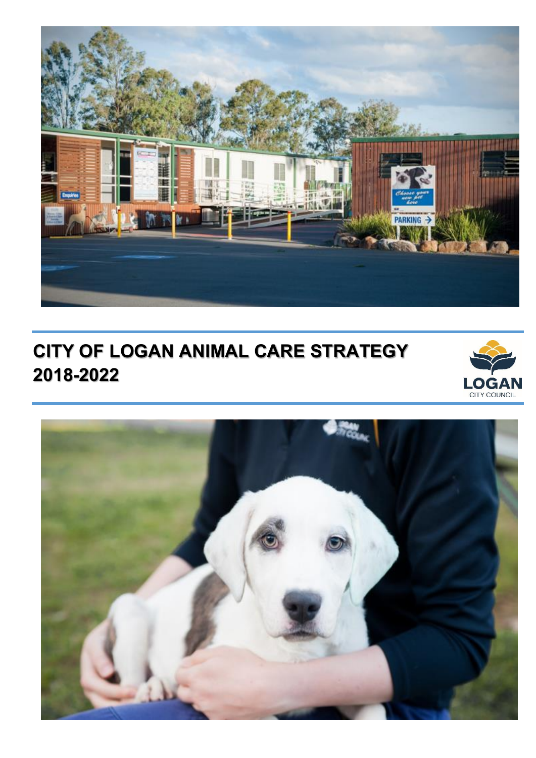

# **CITY OF LOGAN ANIMAL CARE STRATEGY 2018-2022**



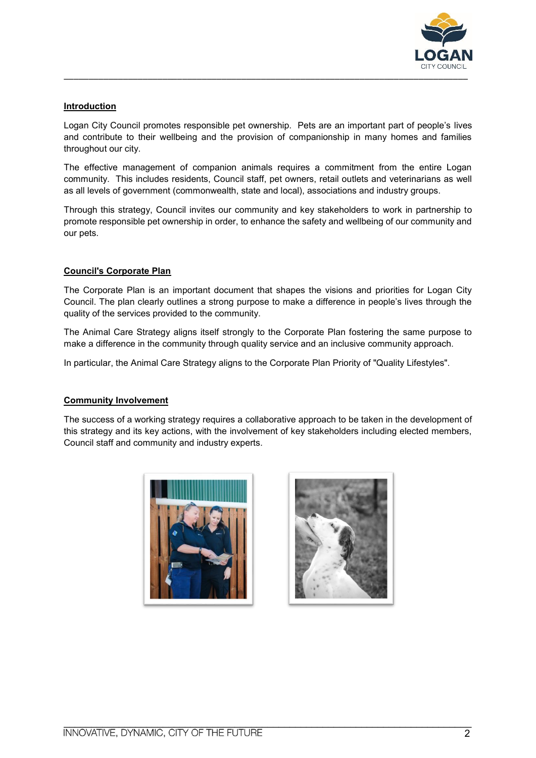

# **Introduction**

 Logan City Council promotes responsible pet ownership. Pets are an important part of people's lives and contribute to their wellbeing and the provision of companionship in many homes and families throughout our city.

 The effective management of companion animals requires a commitment from the entire Logan community. This includes residents, Council staff, pet owners, retail outlets and veterinarians as well as all levels of government (commonwealth, state and local), associations and industry groups.

 Through this strategy, Council invites our community and key stakeholders to work in partnership to promote responsible pet ownership in order, to enhance the safety and wellbeing of our community and our pets.

## **Council's Corporate Plan**

 The Corporate Plan is an important document that shapes the visions and priorities for Logan City Council. The plan clearly outlines a strong purpose to make a difference in people's lives through the quality of the services provided to the community.

 The Animal Care Strategy aligns itself strongly to the Corporate Plan fostering the same purpose to make a difference in the community through quality service and an inclusive community approach.

In particular, the Animal Care Strategy aligns to the Corporate Plan Priority of "Quality Lifestyles".

#### **Community Involvement**

 The success of a working strategy requires a collaborative approach to be taken in the development of this strategy and its key actions, with the involvement of key stakeholders including elected members, Council staff and community and industry experts.



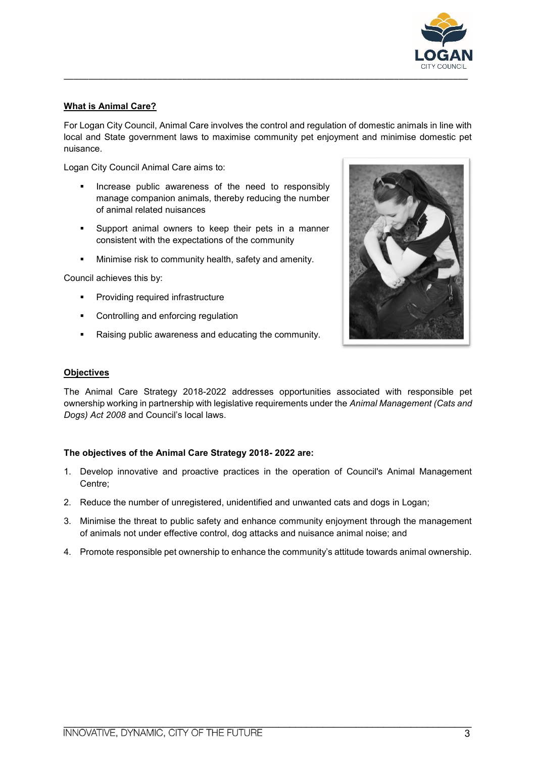

# **What is Animal Care?**

 For Logan City Council, Animal Care involves the control and regulation of domestic animals in line with local and State government laws to maximise community pet enjoyment and minimise domestic pet nuisance.

Logan City Council Animal Care aims to:

- **If Increase public awareness of the need to responsibly**  manage companion animals, thereby reducing the number of animal related nuisances
- **Support animal owners to keep their pets in a manner** consistent with the expectations of the community
- **Minimise risk to community health, safety and amenity.**

Council achieves this by:

- Providing required infrastructure
- Controlling and enforcing regulation
- Raising public awareness and educating the community.



#### **Objectives**

 The Animal Care Strategy 2018-2022 addresses opportunities associated with responsible pet ownership working in partnership with legislative requirements under the *Animal Management (Cats and Dogs) Act 2008* and Council's local laws.

#### **The objectives of the Animal Care Strategy 2018- 2022 are:**

- 1. Develop innovative and proactive practices in the operation of Council's Animal Management Centre;
- 2. Reduce the number of unregistered, unidentified and unwanted cats and dogs in Logan;
- 3. Minimise the threat to public safety and enhance community enjoyment through the management of animals not under effective control, dog attacks and nuisance animal noise; and
- 4. Promote responsible pet ownership to enhance the community's attitude towards animal ownership.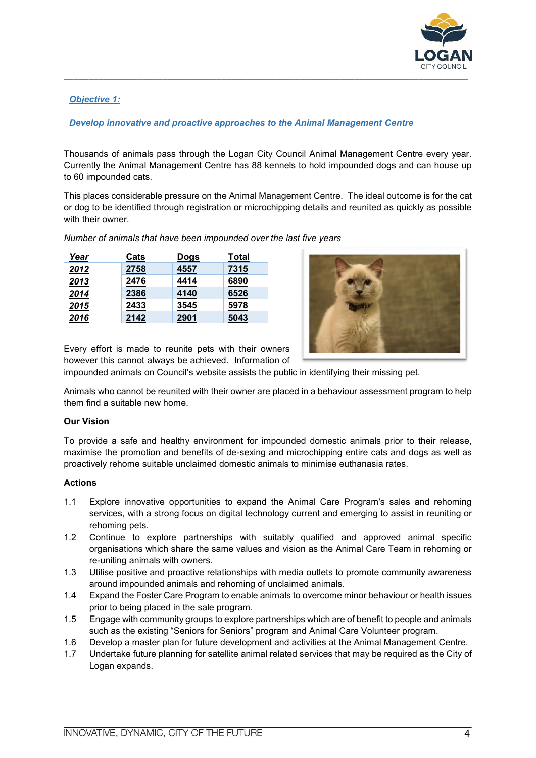

# *Objective 1:*

*Develop innovative and proactive approaches to the Animal Management Centre*

 Thousands of animals pass through the Logan City Council Animal Management Centre every year. Currently the Animal Management Centre has 88 kennels to hold impounded dogs and can house up to 60 impounded cats.

 This places considerable pressure on the Animal Management Centre. The ideal outcome is for the cat or dog to be identified through registration or microchipping details and reunited as quickly as possible with their owner.

| Year | Cats | <u>Dogs</u> | Total |
|------|------|-------------|-------|
| 2012 | 2758 | 4557        | 7315  |
| 2013 | 2476 | 4414        | 6890  |
| 2014 | 2386 | 4140        | 6526  |
| 2015 | 2433 | 3545        | 5978  |
| 2016 | 2142 | 2901        | 5043  |

*Number of animals that have been impounded over the last five years* 



Every effort is made to reunite pets with their owners however this cannot always be achieved. Information of

impounded animals on Council's website assists the public in identifying their missing pet.

 Animals who cannot be reunited with their owner are placed in a behaviour assessment program to help them find a suitable new home.

#### **Our Vision**

 To provide a safe and healthy environment for impounded domestic animals prior to their release, maximise the promotion and benefits of de-sexing and microchipping entire cats and dogs as well as proactively rehome suitable unclaimed domestic animals to minimise euthanasia rates.

#### **Actions**

- 1.1 Explore innovative opportunities to expand the Animal Care Program's sales and rehoming services, with a strong focus on digital technology current and emerging to assist in reuniting or rehoming pets.
- 1.2 Continue to explore partnerships with suitably qualified and approved animal specific organisations which share the same values and vision as the Animal Care Team in rehoming or re-uniting animals with owners.
- 1.3 Utilise positive and proactive relationships with media outlets to promote community awareness around impounded animals and rehoming of unclaimed animals.
- prior to being placed in the sale program. 1.4 Expand the Foster Care Program to enable animals to overcome minor behaviour or health issues
- 1.5 Engage with community groups to explore partnerships which are of benefit to people and animals such as the existing "Seniors for Seniors" program and Animal Care Volunteer program.
- 1.6 Develop a master plan for future development and activities at the Animal Management Centre.
- 1.7 Undertake future planning for satellite animal related services that may be required as the City of Logan expands.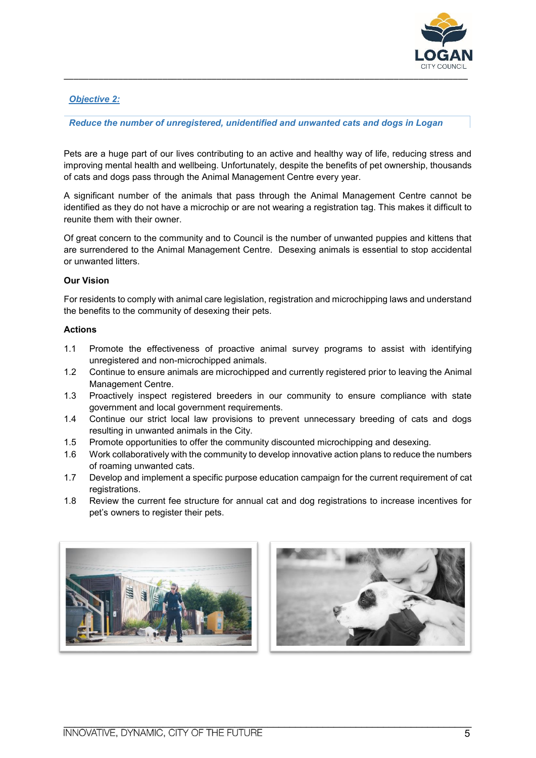

# *Objective 2:*

## *Reduce the number of unregistered, unidentified and unwanted cats and dogs in Logan*

 Pets are a huge part of our lives contributing to an active and healthy way of life, reducing stress and improving mental health and wellbeing. Unfortunately, despite the benefits of pet ownership, thousands of cats and dogs pass through the Animal Management Centre every year.

 A significant number of the animals that pass through the Animal Management Centre cannot be reunite them with their owner. identified as they do not have a microchip or are not wearing a registration tag. This makes it difficult to

reunite them with their owner.<br>Of great concern to the community and to Council is the number of unwanted puppies and kittens that are surrendered to the Animal Management Centre. Desexing animals is essential to stop accidental or unwanted litters.

#### **Our Vision**

 For residents to comply with animal care legislation, registration and microchipping laws and understand the benefits to the community of desexing their pets.

#### **Actions**

- $1.1$ Promote the effectiveness of proactive animal survey programs to assist with identifying unregistered and non-microchipped animals.
- 1.2 Continue to ensure animals are microchipped and currently registered prior to leaving the Animal Management Centre.
- 1.3 Proactively inspect registered breeders in our community to ensure compliance with state government and local government requirements.
- 1.4 Continue our strict local law provisions to prevent unnecessary breeding of cats and dogs resulting in unwanted animals in the City.
- 1.5 Promote opportunities to offer the community discounted microchipping and desexing.
- $1.6$ Work collaboratively with the community to develop innovative action plans to reduce the numbers of roaming unwanted cats.
- 1.7 Develop and implement a specific purpose education campaign for the current requirement of cat registrations.
- 1.8 Review the current fee structure for annual cat and dog registrations to increase incentives for pet's owners to register their pets.



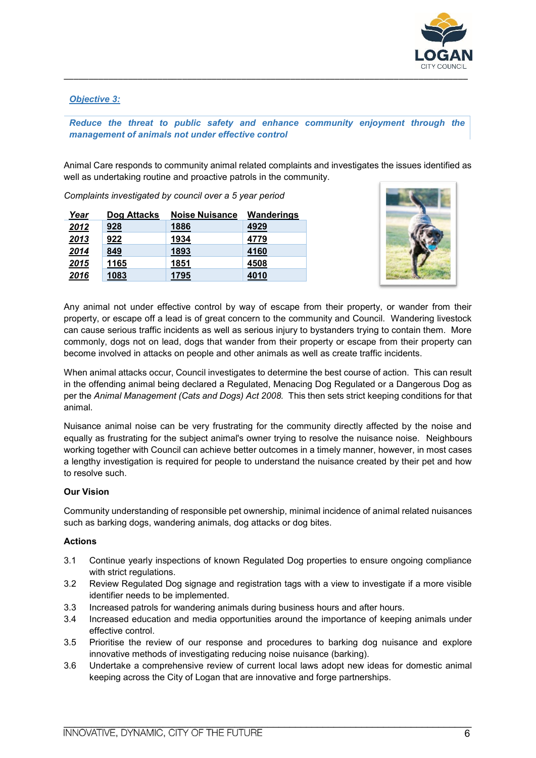

## *Objective 3:*

# *Reduce the threat to public safety and enhance community enjoyment through the management of animals not under effective control*

Animal Care responds to community animal related complaints and investigates the issues identified as well as undertaking routine and proactive patrols in the community.

Complaints investigated by council over a 5 year period

| <u>Year</u> | Dog Attacks | <b>Noise Nuisance</b> | Wanderings |
|-------------|-------------|-----------------------|------------|
| 2012        | <u>928</u>  | 1886                  | 4929       |
| 2013        | 922         | 1934                  | 4779       |
| 2014        | <u>849</u>  | 1893                  | 4160       |
| 2015        | <u>1165</u> | 1851                  | 4508       |
| 2016        | 1083        | 1795                  | 4010       |



 Any animal not under effective control by way of escape from their property, or wander from their property, or escape off a lead is of great concern to the community and Council. Wandering livestock can cause serious traffic incidents as well as serious injury to bystanders trying to contain them. More commonly, dogs not on lead, dogs that wander from their property or escape from their property can become involved in attacks on people and other animals as well as create traffic incidents.

 When animal attacks occur, Council investigates to determine the best course of action. This can result in the offending animal being declared a Regulated, Menacing Dog Regulated or a Dangerous Dog as  per the *Animal Management (Cats and Dogs) Act 2008.* This then sets strict keeping conditions for that animal.

 Nuisance animal noise can be very frustrating for the community directly affected by the noise and equally as frustrating for the subject animal's owner trying to resolve the nuisance noise. Neighbours working together with Council can achieve better outcomes in a timely manner, however, in most cases a lengthy investigation is required for people to understand the nuisance created by their pet and how to resolve such.

#### **Our Vision**

 Community understanding of responsible pet ownership, minimal incidence of animal related nuisances such as barking dogs, wandering animals, dog attacks or dog bites.

#### **Actions**

- 3.1 Continue yearly inspections of known Regulated Dog properties to ensure ongoing compliance with strict regulations.
- 3.2 Review Regulated Dog signage and registration tags with a view to investigate if a more visible identifier needs to be implemented.
- 3.3 Increased patrols for wandering animals during business hours and after hours.
- 3.4 Increased education and media opportunities around the importance of keeping animals under effective control.
- 3.5 Prioritise the review of our response and procedures to barking dog nuisance and explore innovative methods of investigating reducing noise nuisance (barking).
- 3.6 Undertake a comprehensive review of current local laws adopt new ideas for domestic animal keeping across the City of Logan that are innovative and forge partnerships.